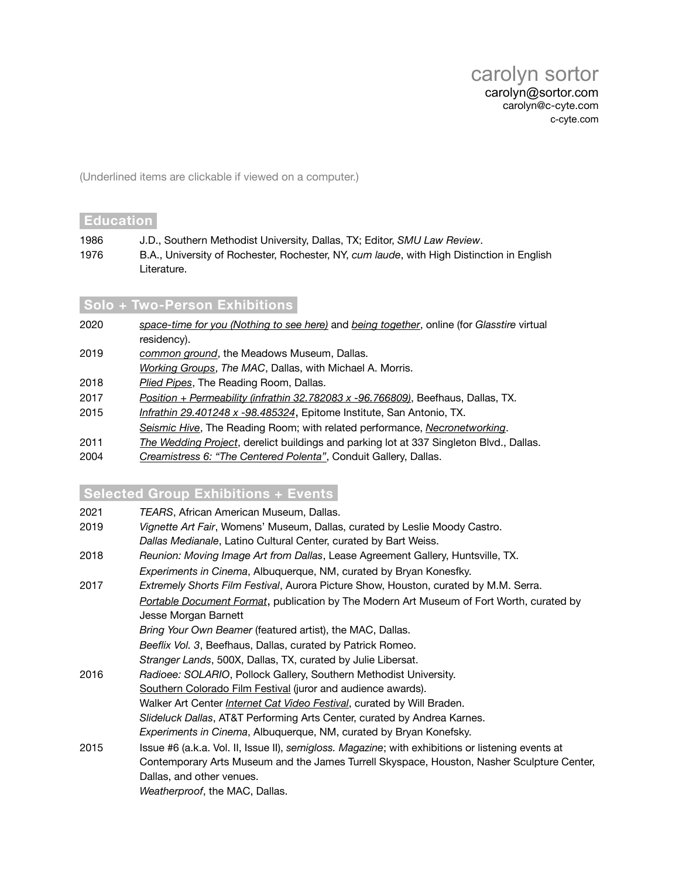(Underlined items are clickable if viewed on a computer.)

#### **Education**

- 1986 J.D., Southern Methodist University, Dallas, TX; Editor, *SMU Law Review*.
- 1976 B.A., University of Rochester, Rochester, NY, *cum laude*, with High Distinction in English Literature.

# **Solo + Two-Person Exhibitionsi**

- 2020 *[space-time for you \(Nothing to see here\)](https://glasstire.com/online-residency/space-time4u)* and *[being together](https://glasstire.com/beingtog)*, online (for *Glasstire* virtual residency). 2019 *[common ground](http://www.c-cyte.com/common_ground)*, the Meadows Museum, Dallas. *[Working Groups](http://www.c-cyte.com/Working_Groups/index.html)*, *The MAC*, Dallas, with Michael A. Morris. 2018 *[Plied Pipes](https://vimeo.com/304542570)*, The Reading Room, Dallas. 2017 *[Position + Permeability \(infrathin 32.782083 x -96.766809\)](http://www.c-cyte.com/Working_Groups/index.html)*, Beefhaus, Dallas, TX. 2015 *[Infrathin 29.401248 x -98.485324](http://www.c-cyte.com/video/Infrathin_29.401248_x_-98.485324)*, Epitome Institute, San Antonio, TX. *[Seismic Hive](http://www.c-cyte.com/video/Hive_Documentation-TRR)*, The Reading Room; with related performance, *[Necronetworking](https://www.facebook.com/events/794357280652956/)*. 2011 *[The Wedding Project](http://www.c-cyte.com/The_Wedding_Project/index.html)*, derelict buildings and parking lot at 337 Singleton Blvd., Dallas.
- 
- 2004 *[Creamistress 6: "The Centered Polenta"](http://creamistress.com/creamstrss_cat_index.html)*, Conduit Gallery, Dallas.

# **Selected Group Exhibitions + Eventsi**

|  | 2021 | TEARS, African American Museum, Dallas. |
|--|------|-----------------------------------------|
|--|------|-----------------------------------------|

- 2019 *Vignette Art Fair*, Womens' Museum, Dallas, curated by Leslie Moody Castro. *Dallas Medianale*, Latino Cultural Center, curated by Bart Weiss.
- 2018 *Reunion: Moving Image Art from Dallas*, Lease Agreement Gallery, Huntsville, TX. *Experiments in Cinema*, Albuquerque, NM, curated by Bryan Konesfky.
- 2017 *Extremely Shorts Film Festival*, Aurora Picture Show, Houston, curated by M.M. Serra. *[Portable Document Format](https://www.themodern.org/electricpdf)*, publication by The Modern Art Museum of Fort Worth, curated by Jesse Morgan Barnett *Bring Your Own Beamer* (featured artist), the MAC, Dallas. *Beeflix Vol. 3*, Beefhaus, Dallas, curated by Patrick Romeo. *Stranger Lands*, 500X, Dallas, TX, curated by Julie Libersat. 2016 *Radioee: SOLARIO*, Pollock Gallery, Southern Methodist University. [Southern Colorado Film Festival](http://www.socofilmfest.com/schedule.html) (juror and audience awards). Walker Art Center *[Internet Cat Video Festival](http://www.walkerart.org/internet-cat-video-festival)*, curated by Will Braden. *Slideluck Dallas*, AT&T Performing Arts Center, curated by Andrea Karnes. *Experiments in Cinema*, Albuquerque, NM, curated by Bryan Konefsky. 2015 Issue #6 (a.k.a. Vol. II, Issue II), *semigloss. Magazine*; with exhibitions or listening events at Contemporary Arts Museum and the James Turrell Skyspace, Houston, Nasher Sculpture Center, Dallas, and other venues.

*Weatherproof*, the MAC, Dallas.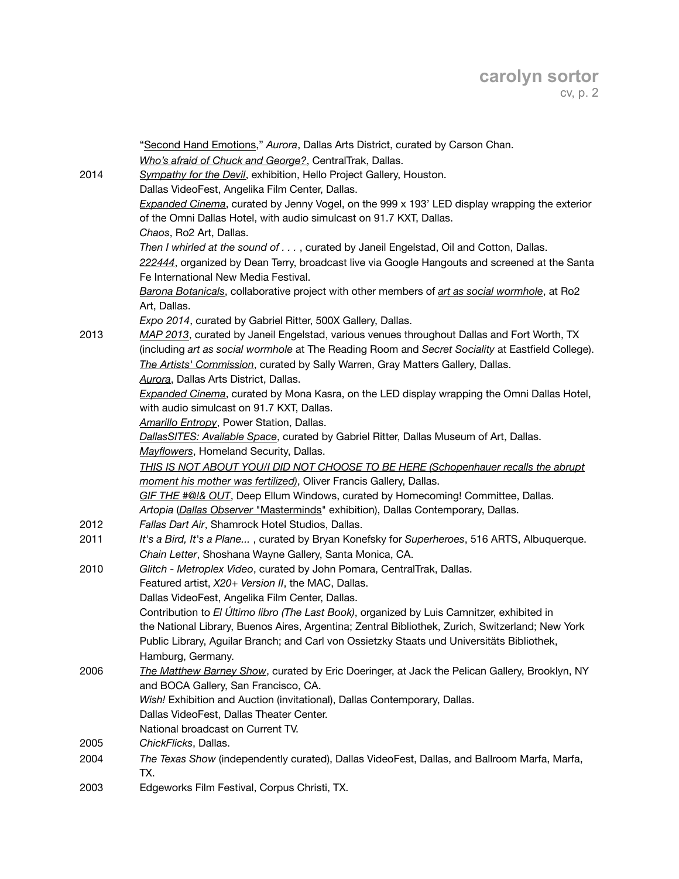|      | "Second Hand Emotions," Aurora, Dallas Arts District, curated by Carson Chan.                                                                    |
|------|--------------------------------------------------------------------------------------------------------------------------------------------------|
|      | Who's afraid of Chuck and George?, CentralTrak, Dallas.                                                                                          |
| 2014 | Sympathy for the Devil, exhibition, Hello Project Gallery, Houston.                                                                              |
|      | Dallas VideoFest, Angelika Film Center, Dallas.                                                                                                  |
|      | Expanded Cinema, curated by Jenny Vogel, on the 999 x 193' LED display wrapping the exterior                                                     |
|      | of the Omni Dallas Hotel, with audio simulcast on 91.7 KXT, Dallas.                                                                              |
|      | Chaos, Ro2 Art, Dallas.                                                                                                                          |
|      | Then I whirled at the sound of , curated by Janeil Engelstad, Oil and Cotton, Dallas.                                                            |
|      | 222444, organized by Dean Terry, broadcast live via Google Hangouts and screened at the Santa                                                    |
|      | Fe International New Media Festival.                                                                                                             |
|      | Barona Botanicals, collaborative project with other members of art as social wormhole, at Ro2<br>Art, Dallas.                                    |
|      | Expo 2014, curated by Gabriel Ritter, 500X Gallery, Dallas.                                                                                      |
| 2013 | MAP 2013, curated by Janeil Engelstad, various venues throughout Dallas and Fort Worth, TX                                                       |
|      | (including art as social wormhole at The Reading Room and Secret Sociality at Eastfield College).                                                |
|      | The Artists' Commission, curated by Sally Warren, Gray Matters Gallery, Dallas.                                                                  |
|      | Aurora, Dallas Arts District, Dallas.                                                                                                            |
|      | Expanded Cinema, curated by Mona Kasra, on the LED display wrapping the Omni Dallas Hotel,                                                       |
|      | with audio simulcast on 91.7 KXT, Dallas.                                                                                                        |
|      | Amarillo Entropy, Power Station, Dallas.                                                                                                         |
|      | DallasSITES: Available Space, curated by Gabriel Ritter, Dallas Museum of Art, Dallas.                                                           |
|      | Mayflowers, Homeland Security, Dallas.                                                                                                           |
|      | THIS IS NOT ABOUT YOU/I DID NOT CHOOSE TO BE HERE (Schopenhauer recalls the abrupt                                                               |
|      | moment his mother was fertilized), Oliver Francis Gallery, Dallas.                                                                               |
|      | GIF THE #@!& OUT, Deep Ellum Windows, curated by Homecoming! Committee, Dallas.                                                                  |
| 2012 | Artopia (Dallas Observer "Masterminds" exhibition), Dallas Contemporary, Dallas.                                                                 |
| 2011 | Fallas Dart Air, Shamrock Hotel Studios, Dallas.<br>It's a Bird, It's a Plane, curated by Bryan Konefsky for Superheroes, 516 ARTS, Albuquerque. |
|      | Chain Letter, Shoshana Wayne Gallery, Santa Monica, CA.                                                                                          |
| 2010 | Glitch - Metroplex Video, curated by John Pomara, CentralTrak, Dallas.                                                                           |
|      | Featured artist, X20+ Version II, the MAC, Dallas.                                                                                               |
|      | Dallas VideoFest, Angelika Film Center, Dallas.                                                                                                  |
|      | Contribution to El Último libro (The Last Book), organized by Luis Camnitzer, exhibited in                                                       |
|      | the National Library, Buenos Aires, Argentina; Zentral Bibliothek, Zurich, Switzerland; New York                                                 |
|      | Public Library, Aguilar Branch; and Carl von Ossietzky Staats und Universitäts Bibliothek,                                                       |
|      | Hamburg, Germany.                                                                                                                                |
| 2006 | The Matthew Barney Show, curated by Eric Doeringer, at Jack the Pelican Gallery, Brooklyn, NY                                                    |
|      | and BOCA Gallery, San Francisco, CA.                                                                                                             |
|      | Wish! Exhibition and Auction (invitational), Dallas Contemporary, Dallas.                                                                        |
|      | Dallas VideoFest, Dallas Theater Center.                                                                                                         |
|      | National broadcast on Current TV.                                                                                                                |
| 2005 | ChickFlicks, Dallas.                                                                                                                             |
| 2004 | The Texas Show (independently curated), Dallas VideoFest, Dallas, and Ballroom Marfa, Marfa,                                                     |
|      | TX.                                                                                                                                              |
| 2003 | Edgeworks Film Festival, Corpus Christi, TX.                                                                                                     |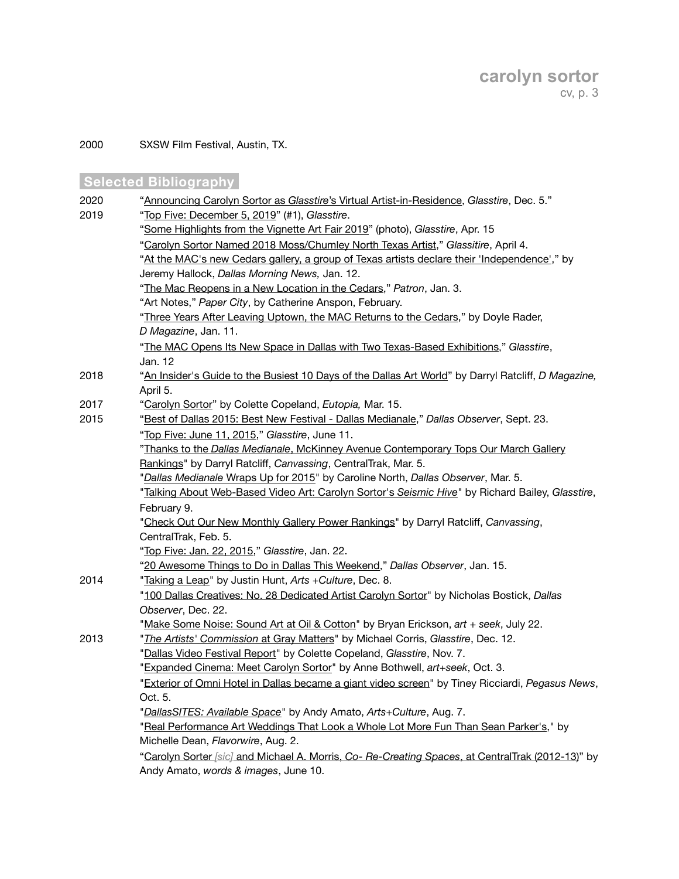2000 SXSW Film Festival, Austin, TX.

# **Selected Bibliography**

| 2020 | "Announcing Carolyn Sortor as Glasstire's Virtual Artist-in-Residence, Glasstire, Dec. 5."          |
|------|-----------------------------------------------------------------------------------------------------|
| 2019 | "Top Five: December 5, 2019" (#1), Glasstire.                                                       |
|      | "Some Highlights from the Vignette Art Fair 2019" (photo), Glasstire, Apr. 15                       |
|      | "Carolyn Sortor Named 2018 Moss/Chumley North Texas Artist," Glassitire, April 4.                   |
|      | "At the MAC's new Cedars gallery, a group of Texas artists declare their 'Independence'," by        |
|      | Jeremy Hallock, Dallas Morning News, Jan. 12.                                                       |
|      | "The Mac Reopens in a New Location in the Cedars," Patron, Jan. 3.                                  |
|      | "Art Notes," Paper City, by Catherine Anspon, February.                                             |
|      | "Three Years After Leaving Uptown, the MAC Returns to the Cedars," by Doyle Rader,                  |
|      | D Magazine, Jan. 11.                                                                                |
|      | "The MAC Opens Its New Space in Dallas with Two Texas-Based Exhibitions," Glasstire,                |
|      | Jan. 12                                                                                             |
| 2018 | "An Insider's Guide to the Busiest 10 Days of the Dallas Art World" by Darryl Ratcliff, D Magazine, |
|      | April 5.                                                                                            |
| 2017 | "Carolyn Sortor" by Colette Copeland, Eutopia, Mar. 15.                                             |
| 2015 | "Best of Dallas 2015: Best New Festival - Dallas Medianale," Dallas Observer, Sept. 23.             |
|      | "Top Five: June 11, 2015," Glasstire, June 11.                                                      |
|      | "Thanks to the Dallas Medianale, McKinney Avenue Contemporary Tops Our March Gallery                |
|      | Rankings" by Darryl Ratcliff, Canvassing, CentralTrak, Mar. 5.                                      |
|      | "Dallas Medianale Wraps Up for 2015" by Caroline North, Dallas Observer, Mar. 5.                    |
|      | "Talking About Web-Based Video Art: Carolyn Sortor's Seismic Hive" by Richard Bailey, Glasstire,    |
|      | February 9.                                                                                         |
|      | "Check Out Our New Monthly Gallery Power Rankings" by Darryl Ratcliff, Canvassing,                  |
|      | CentralTrak, Feb. 5.                                                                                |
|      | "Top Five: Jan. 22, 2015," Glasstire, Jan. 22.                                                      |
|      | "20 Awesome Things to Do in Dallas This Weekend," Dallas Observer, Jan. 15.                         |
| 2014 | "Taking a Leap" by Justin Hunt, Arts + Culture, Dec. 8.                                             |
|      | "100 Dallas Creatives: No. 28 Dedicated Artist Carolyn Sortor" by Nicholas Bostick, Dallas          |
|      | Observer, Dec. 22.                                                                                  |
|      | "Make Some Noise: Sound Art at Oil & Cotton" by Bryan Erickson, art + seek, July 22.                |
| 2013 | "The Artists' Commission at Gray Matters" by Michael Corris, Glasstire, Dec. 12.                    |
|      | "Dallas Video Festival Report" by Colette Copeland, Glasstire, Nov. 7.                              |
|      | "Expanded Cinema: Meet Carolyn Sortor" by Anne Bothwell, art+seek, Oct. 3.                          |
|      | "Exterior of Omni Hotel in Dallas became a giant video screen" by Tiney Ricciardi, Pegasus News,    |
|      | Oct. 5.                                                                                             |
|      | "DallasSITES: Available Space" by Andy Amato, Arts+Culture, Aug. 7.                                 |
|      | "Real Performance Art Weddings That Look a Whole Lot More Fun Than Sean Parker's," by               |
|      | Michelle Dean, Flavorwire, Aug. 2.                                                                  |
|      | "Carolyn Sorter [sic] and Michael A. Morris, Co- Re-Creating Spaces, at CentralTrak (2012-13)" by   |
|      | Andy Amato, words & images, June 10.                                                                |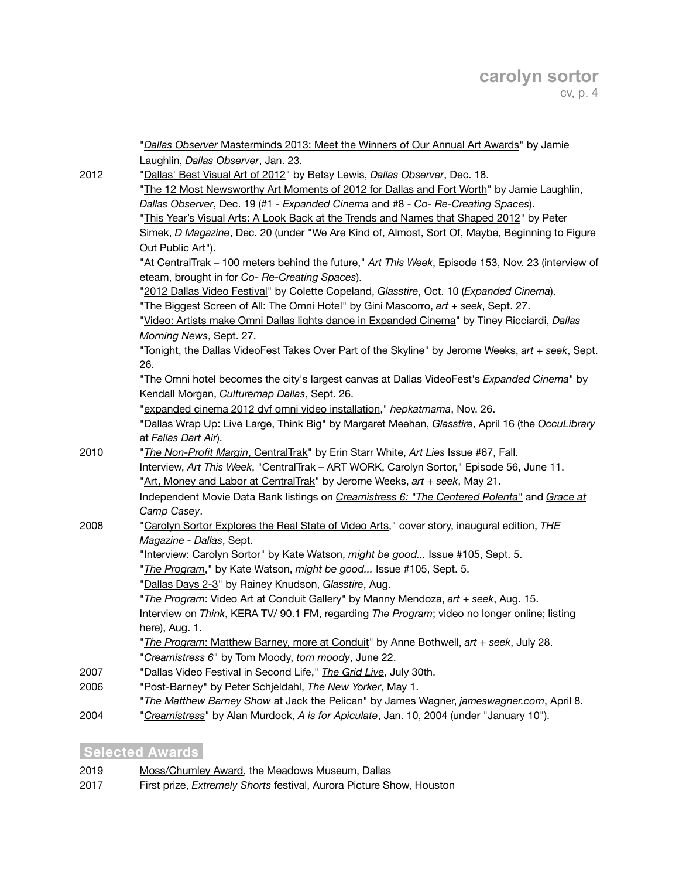|      | "Dallas Observer Masterminds 2013: Meet the Winners of Our Annual Art Awards" by Jamie                                                               |
|------|------------------------------------------------------------------------------------------------------------------------------------------------------|
|      | Laughlin, Dallas Observer, Jan. 23.                                                                                                                  |
| 2012 | "Dallas' Best Visual Art of 2012" by Betsy Lewis, Dallas Observer, Dec. 18.                                                                          |
|      | "The 12 Most Newsworthy Art Moments of 2012 for Dallas and Fort Worth" by Jamie Laughlin,                                                            |
|      | Dallas Observer, Dec. 19 (#1 - Expanded Cinema and #8 - Co- Re-Creating Spaces).                                                                     |
|      | "This Year's Visual Arts: A Look Back at the Trends and Names that Shaped 2012" by Peter                                                             |
|      | Simek, D Magazine, Dec. 20 (under "We Are Kind of, Almost, Sort Of, Maybe, Beginning to Figure                                                       |
|      | Out Public Art").                                                                                                                                    |
|      | "At CentralTrak - 100 meters behind the future," Art This Week, Episode 153, Nov. 23 (interview of<br>eteam, brought in for Co- Re-Creating Spaces). |
|      | "2012 Dallas Video Festival" by Colette Copeland, Glasstire, Oct. 10 (Expanded Cinema).                                                              |
|      | "The Biggest Screen of All: The Omni Hotel" by Gini Mascorro, art + seek, Sept. 27.                                                                  |
|      | "Video: Artists make Omni Dallas lights dance in Expanded Cinema" by Tiney Ricciardi, Dallas                                                         |
|      | Morning News, Sept. 27.                                                                                                                              |
|      | "Tonight, the Dallas VideoFest Takes Over Part of the Skyline" by Jerome Weeks, art + seek, Sept.                                                    |
|      | 26.                                                                                                                                                  |
|      | "The Omni hotel becomes the city's largest canvas at Dallas VideoFest's Expanded Cinema" by                                                          |
|      | Kendall Morgan, Culturemap Dallas, Sept. 26.                                                                                                         |
|      | "expanded cinema 2012 dvf omni video installation," hepkatmama, Nov. 26.                                                                             |
|      | "Dallas Wrap Up: Live Large, Think Big" by Margaret Meehan, Glasstire, April 16 (the OccuLibrary                                                     |
|      | at Fallas Dart Air).                                                                                                                                 |
| 2010 | "The Non-Profit Margin, CentralTrak" by Erin Starr White, Art Lies Issue #67, Fall.                                                                  |
|      | Interview, Art This Week, "CentralTrak - ART WORK, Carolyn Sortor," Episode 56, June 11.                                                             |
|      | "Art, Money and Labor at CentralTrak" by Jerome Weeks, art + seek, May 21.                                                                           |
|      | Independent Movie Data Bank listings on Creamistress 6: "The Centered Polenta" and Grace at                                                          |
|      | Camp Casey.                                                                                                                                          |
| 2008 | "Carolyn Sortor Explores the Real State of Video Arts," cover story, inaugural edition, THE                                                          |
|      | Magazine - Dallas, Sept.                                                                                                                             |
|      | "Interview: Carolyn Sortor" by Kate Watson, might be good Issue #105, Sept. 5.                                                                       |
|      | "The Program," by Kate Watson, might be good Issue #105, Sept. 5.                                                                                    |
|      | "Dallas Days 2-3" by Rainey Knudson, Glasstire, Aug.                                                                                                 |
|      | "The Program: Video Art at Conduit Gallery" by Manny Mendoza, art + seek, Aug. 15.                                                                   |
|      | Interview on Think, KERA TV/ 90.1 FM, regarding The Program; video no longer online; listing                                                         |
|      | here), Aug. 1.                                                                                                                                       |
|      | "The Program: Matthew Barney, more at Conduit" by Anne Bothwell, art + seek, July 28.                                                                |
|      | "Creamistress 6" by Tom Moody, tom moody, June 22.                                                                                                   |
| 2007 | "Dallas Video Festival in Second Life," The Grid Live, July 30th.                                                                                    |
| 2006 | "Post-Barney" by Peter Schjeldahl, The New Yorker, May 1.                                                                                            |
|      | "The Matthew Barney Show at Jack the Pelican" by James Wagner, jameswagner.com, April 8.                                                             |
| 2004 | "Creamistress" by Alan Murdock, A is for Apiculate, Jan. 10, 2004 (under "January 10").                                                              |

# **Selected Awards**

- 2019 [Moss/Chumley Award](https://meadowsmuseumdallas.org/wp-content/uploads/2019/04/MossChumleyWinnerRelease2018.pdf), the Meadows Museum, Dallas
- 2017 First prize, *Extremely Shorts* festival, Aurora Picture Show, Houston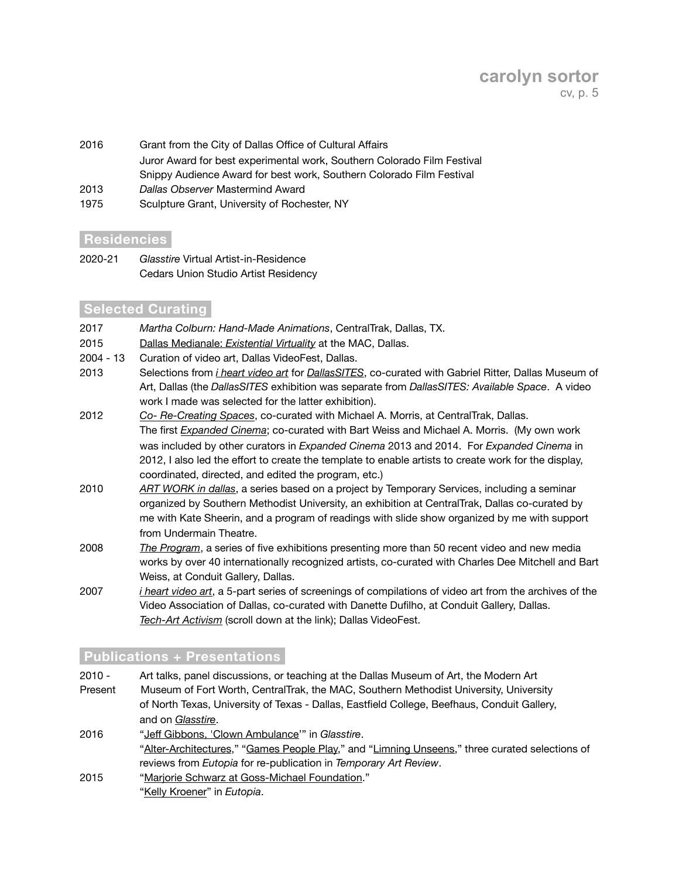# **carolyn sortor** cv, p. 5

- 2016 Grant from the City of Dallas Office of Cultural Affairs Juror Award for best experimental work, Southern Colorado Film Festival Snippy Audience Award for best work, Southern Colorado Film Festival 2013 *Dallas Observer* Mastermind Award
- 1975 Sculpture Grant, University of Rochester, NY

#### **Residenciesi**

2020-21 *Glasstire* Virtual Artist-in-Residence Cedars Union Studio Artist Residency

# **Selected Curating**

- 2017 *Martha Colburn: Hand-Made Animations*, CentralTrak, Dallas, TX.
- 2015 Dallas Medianale: *[Existential Virtuality](http://www.c-cyte.com/Dallas_Medianale_2015/Schedule_2015-02-28.html)* at the MAC, Dallas.
- 2004 13 Curation of video art, Dallas VideoFest, Dallas.
- 2013 Selections from *[i heart video art](http://www.c-cyte.com/acrobat_docs/I_Heart_Video_Art_Schedule.pdf)* for *[DallasSITES](http://www.dma.org/art/exhibition-archive/dallassites-charting-contemporary-art-1963-present)*, co-curated with Gabriel Ritter, Dallas Museum of Art, Dallas (the *DallasSITES* exhibition was separate from *DallasSITES: Available Space*. A video work I made was selected for the latter exhibition).
- 2012 *[Co- Re-Creating Spaces](http://co-re-creatingspaces.tumblr.com/)*, co-curated with Michael A. Morris, at CentralTrak, Dallas. The first *[Expanded Cinema](https://www.facebook.com/ExpandedCinema)*; co-curated with Bart Weiss and Michael A. Morris. (My own work was included by other curators in *Expanded Cinema* 2013 and 2014. For *Expanded Cinema* in 2012, I also led the effort to create the template to enable artists to create work for the display, coordinated, directed, and edited the program, etc.)
- 2010 *[ART WORK in dallas](http://c-cyte.blogspot.com/2010/05/mark-your-calenders-art-work-in-dallas.html)*, a series based on a project by Temporary Services, including a seminar organized by Southern Methodist University, an exhibition at CentralTrak, Dallas co-curated by me with Kate Sheerin, and a program of readings with slide show organized by me with support from Undermain Theatre.
- 2008 *[The Program](http://c-cyte.blogspot.com/2008/07/update-program_22.html)*, a series of five exhibitions presenting more than 50 recent video and new media works by over 40 internationally recognized artists, co-curated with Charles Dee Mitchell and Bart Weiss, at Conduit Gallery, Dallas.
- 2007 *[i heart video art](http://www.c-cyte.com/acrobat_docs/I_Heart_Video_Art_Schedule.pdf)*, a 5-part series of screenings of compilations of video art from the archives of the Video Association of Dallas, co-curated with Danette Dufilho, at Conduit Gallery, Dallas. *[Tech-Art Activism](http://c-cyte.blogspot.com/2007/07/some-picks-from-next-dvf-731-85.html)* (scroll down at the link); Dallas VideoFest.

# **Publications + Presentationsi**

2010 - Art talks, panel discussions, or teaching at the Dallas Museum of Art, the Modern Art Present Museum of Fort Worth, CentralTrak, the MAC, Southern Methodist University, University of North Texas, University of Texas - Dallas, Eastfield College, Beefhaus, Conduit Gallery, and on *[Glasstire](https://www.youtube.com/watch?v=xcTfWPPpORc&feature=emb_logo)*.

- 2016 "Jeff [Gibbons, 'Clown Ambulance'](http://glasstire.com/2016/12/24/jeff-gibbons-at-conduit-gallery/)" in *Glasstire*. ["Alter-Architectures,](http://temporaryartreview.com/alter-architectures/)" ["Games People Play,](http://temporaryartreview.com/games-people-play/)" and "[Limning Unseens](http://temporaryartreview.com/eutopia-limning-unseens/)," three curated selections of reviews from *Eutopia* for re-publication in *Temporary Art Review*. 2015 ["Marjorie Schwarz at Goss-Michael Foundation.](http://c-cyte.blogspot.com/2015/09/marjorie-schwarz-at-goss-michael.html)"
	- ["Kelly Kroener"](http://eutopia.us/kelly-kroener/) in *Eutopia*.